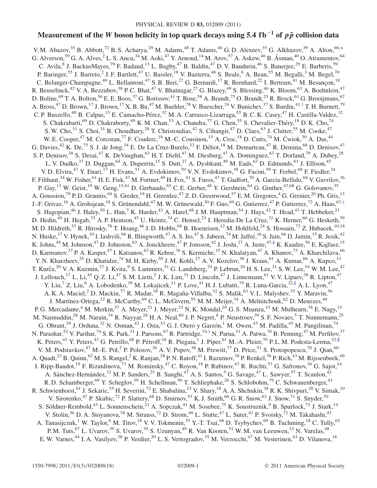# Measurement of the W boson helicity in top quark decays using 5.4 fb<sup>-1</sup> of  $p\bar{p}$  collision data

<span id="page-0-2"></span><span id="page-0-1"></span><span id="page-0-0"></span>V. M. Abazov,<sup>35</sup> B. Abbott,<sup>72</sup> B. S. Acharya,<sup>29</sup> M. Adams,<sup>48</sup> T. Adams,<sup>46</sup> G. D. Alexeev,<sup>35</sup> G. Alkhazov,<sup>39</sup> A. Alton,<sup>60,[\\*](#page-2-0)</sup> G. Alverson,<sup>59</sup> G. A. Alves,<sup>2</sup> L. S. Ancu,<sup>34</sup> M. Aoki,<sup>47</sup> Y. Arnoud,<sup>14</sup> M. Arov,<sup>57</sup> A. Askew,<sup>46</sup> B. Åsman,<sup>40</sup> O. Atramentov,<sup>64</sup> C. Avila, <sup>8</sup> J. BackusMayes, <sup>79</sup> F. Badaud, <sup>13</sup> L. Bagby, <sup>47</sup> B. Baldin, <sup>47</sup> D. V. Bandurin, <sup>46</sup> S. Banerjee, <sup>29</sup> E. Barberis, <sup>59</sup> P. Baringer,<sup>55</sup> J. Barreto,<sup>2</sup> J. F. Bartlett,<sup>47</sup> U. Bassler,<sup>18</sup> V. Bazterra,<sup>48</sup> S. Beale,<sup>6</sup> A. Bean,<sup>55</sup> M. Begalli,<sup>3</sup> M. Begel,<sup>70</sup> C. Belanger-Champagne,<sup>40</sup> L. Bellantoni,<sup>47</sup> S. B. Beri,<sup>27</sup> G. Bernardi,<sup>17</sup> R. Bernhard,<sup>22</sup> I. Bertram,<sup>41</sup> M. Besançon,<sup>18</sup> R. Beuselinck,<sup>42</sup> V. A. Bezzubov,<sup>38</sup> P. C. Bhat,<sup>47</sup> V. Bhatnagar,<sup>27</sup> G. Blazey,<sup>49</sup> S. Blessing,<sup>46</sup> K. Bloom,<sup>63</sup> A. Boehnlein,<sup>47</sup> D. Boline,<sup>69</sup> T. A. Bolton,<sup>56</sup> E. E. Boos,<sup>37</sup> G. Borissov,<sup>41</sup> T. Bose,<sup>58</sup> A. Brandt,<sup>75</sup> O. Brandt,<sup>23</sup> R. Brock,<sup>61</sup> G. Brooijmans,<sup>67</sup> A. Bross,<sup>47</sup> D. Brown,<sup>17</sup> J. Brown,<sup>17</sup> X. B. Bu,<sup>47</sup> M. Buehler,<sup>78</sup> V. Buescher,<sup>24</sup> V. Bunichev,<sup>37</sup> S. Burdin,<sup>41,[†](#page-2-1)</sup> T. H. Burnett,<sup>79</sup> C. P. Buszello,<sup>40</sup> B. Calpas,<sup>15</sup> E. Camacho-Pérez,<sup>32</sup> M. A. Carrasco-Lizarraga,<sup>55</sup> B. C. K. Casey,<sup>47</sup> H. Castilla-Valdez,<sup>32</sup> S. Chakrabarti,<sup>69</sup> D. Chakraborty,<sup>49</sup> K. M. Chan,<sup>53</sup> A. Chandra,<sup>77</sup> G. Chen,<sup>55</sup> S. Chevalier-Théry,<sup>18</sup> D. K. Cho,<sup>74</sup> S. W. Cho,<sup>31</sup> S. Choi,<sup>31</sup> B. Choudhary,<sup>28</sup> T. Christoudias,<sup>42</sup> S. Cihangir,<sup>47</sup> D. Claes,<sup>63</sup> J. Clutter,<sup>55</sup> M. Cooke,<sup>47</sup> W. E. Cooper,<sup>47</sup> M. Corcoran,<sup>77</sup> F. Couderc,<sup>18</sup> M.-C. Cousinou,<sup>15</sup> A. Croc,<sup>18</sup> D. Cutts,<sup>74</sup> M. Cwiok,<sup>30</sup> A. Das,<sup>44</sup> G. Davies,<sup>42</sup> K. De,<sup>75</sup> S. J. de Jong,<sup>34</sup> E. De La Cruz-Burelo,<sup>32</sup> F. Déliot,<sup>18</sup> M. Demarteau,<sup>47</sup> R. Demina,<sup>68</sup> D. Denisov,<sup>47</sup> S. P. Denisov,<sup>38</sup> S. Desai,<sup>47</sup> K. DeVaughan,<sup>63</sup> H. T. Diehl,<sup>47</sup> M. Diesburg,<sup>47</sup> A. Dominguez,<sup>63</sup> T. Dorland,<sup>79</sup> A. Dubey,<sup>28</sup> L. V. Dudko,<sup>37</sup> D. Duggan,<sup>64</sup> A. Duperrin,<sup>15</sup> S. Dutt,<sup>27</sup> A. Dyshkant,<sup>49</sup> M. Eads,<sup>63</sup> D. Edmunds,<sup>61</sup> J. Ellison,<sup>45</sup> V. D. Elvira,<sup>47</sup> Y. Enari,<sup>17</sup> H. Evans,<sup>51</sup> A. Evdokimov,<sup>70</sup> V. N. Evdokimov,<sup>38</sup> G. Facini,<sup>59</sup> T. Ferbel,<sup>68</sup> F. Fiedler,<sup>24</sup> F. Filthaut,<sup>34</sup> W. Fisher,<sup>61</sup> H. E. Fisk,<sup>47</sup> M. Fortner,<sup>49</sup> H. Fox,<sup>41</sup> S. Fuess,<sup>47</sup> T. Gadfort,<sup>70</sup> A. Garcia-Bellido,<sup>68</sup> V. Gavrilov,<sup>36</sup> P. Gay,<sup>13</sup> W. Geist,<sup>19</sup> W. Geng,<sup>15,61</sup> D. Gerbaudo,<sup>65</sup> C. E. Gerber,<sup>48</sup> Y. Gershtein,<sup>64</sup> G. Ginther,<sup>47,68</sup> G. Golovanov,<sup>35</sup> A. Goussiou,<sup>79</sup> P. D. Grannis,<sup>69</sup> S. Greder,<sup>19</sup> H. Greenlee,<sup>47</sup> Z. D. Greenwood,<sup>57</sup> E. M. Gregores,<sup>4</sup> G. Grenier,<sup>20</sup> Ph. Gris,<sup>13</sup> J.-F. Grivaz,<sup>16</sup> A. Grohsjean,<sup>18</sup> S. Grünendahl,<sup>47</sup> M. W. Grünewald,<sup>30</sup> F. Guo,<sup>69</sup> G. Gutierrez,<sup>47</sup> P. Gutierrez,<sup>72</sup> A. Haas,<sup>67[,‡](#page-2-2)</sup> S. Hagopian,<sup>46</sup> J. Haley,<sup>59</sup> L. Han,<sup>7</sup> K. Harder,<sup>43</sup> A. Harel,<sup>68</sup> J.M. Hauptman,<sup>54</sup> J. Hays,<sup>42</sup> T. Head,<sup>43</sup> T. Hebbeker,<sup>21</sup> D. Hedin,<sup>49</sup> H. Hegab,<sup>73</sup> A. P. Heinson,<sup>45</sup> U. Heintz,<sup>74</sup> C. Hensel,<sup>23</sup> I. Heredia-De La Cruz,<sup>32</sup> K. Herner,<sup>60</sup> G. Hesketh,<sup>59</sup> M. D. Hildreth,<sup>53</sup> R. Hirosky,<sup>78</sup> T. Hoang,<sup>46</sup> J. D. Hobbs,<sup>69</sup> B. Hoeneisen,<sup>12</sup> M. Hohlfeld,<sup>24</sup> S. Hossain,<sup>72</sup> Z. Hubacek,<sup>10,18</sup> N. Huske, <sup>17</sup> V. Hynek, <sup>10</sup> I. Iashvili, <sup>66</sup> R. Illingworth, <sup>47</sup> A. S. Ito, <sup>47</sup> S. Jabeen, <sup>74</sup> M. Jaffré, <sup>16</sup> S. Jain, <sup>66</sup> D. Jamin, <sup>15</sup> R. Jesik, <sup>42</sup> K. Johns,  $^{44}$  M. Johnson,  $^{47}$  D. Johnston,  $^{63}$  A. Jonckheere,  $^{47}$  P. Jonsson,  $^{42}$  J. Joshi,  $^{27}$  A. Juste,  $^{47,8}$  K. Kaadze,  $^{56}$  E. Kajfasz,  $^{15}$ D. Karmanov,<sup>37</sup> P. A. Kasper,<sup>47</sup> I. Katsanos,<sup>63</sup> R. Kehoe,<sup>76</sup> S. Kermiche,<sup>15</sup> N. Khalatyan,<sup>47</sup> A. Khanov,<sup>73</sup> A. Kharchilava,<sup>66</sup> Y. N. Kharzheev,<sup>35</sup> D. Khatidze,<sup>74</sup> M. H. Kirby,<sup>50</sup> J. M. Kohli,<sup>27</sup> A. V. Kozelov,<sup>38</sup> J. Kraus,<sup>61</sup> A. Kumar,<sup>66</sup> A. Kupco,<sup>11</sup> T. Kurča,<sup>20</sup> V. A. Kuzmin,<sup>37</sup> J. Kvita,<sup>9</sup> S. Lammers,<sup>51</sup> G. Landsberg,<sup>74</sup> P. Lebrun,<sup>20</sup> H. S. Lee,<sup>31</sup> S. W. Lee,<sup>54</sup> W. M. Lee,<sup>47</sup> J. Lellouch,<sup>17</sup> L. Li,<sup>45</sup> Q. Z. Li,<sup>47</sup> S. M. Lietti,<sup>5</sup> J. K. Lim,<sup>31</sup> D. Lincoln,<sup>47</sup> J. Linnemann,<sup>61</sup> V. V. Lipaev,<sup>38</sup> R. Lipton,<sup>47</sup> Y. Liu,<sup>7</sup> Z. Liu,<sup>6</sup> A. Lobodenko,<sup>39</sup> M. Lokajicek,<sup>11</sup> P. Love,<sup>41</sup> H. J. Lubatti,<sup>79</sup> R. Luna-Garcia,<sup>32,||</sup> A. L. Lyon,<sup>47</sup> A. K. A. Maciel,<sup>2</sup> D. Mackin,<sup>77</sup> R. Madar,<sup>18</sup> R. Magaña-Villalba,<sup>32</sup> S. Malik,<sup>63</sup> V. L. Malyshev,<sup>35</sup> Y. Maravin,<sup>56</sup> J. Martínez-Ortega,<sup>32</sup> R. McCarthy,<sup>69</sup> C. L. McGivern,<sup>55</sup> M. M. Meijer,<sup>34</sup> A. Melnitchouk,<sup>62</sup> D. Menezes,<sup>49</sup> P. G. Mercadante,<sup>4</sup> M. Merkin,<sup>37</sup> A. Meyer,<sup>21</sup> J. Meyer,<sup>23</sup> N. K. Mondal,<sup>29</sup> G. S. Muanza,<sup>15</sup> M. Mulhearn,<sup>78</sup> E. Nagy,<sup>15</sup> M. Naimuddin,<sup>28</sup> M. Narain,<sup>74</sup> R. Nayyar,<sup>28</sup> H. A. Neal,<sup>60</sup> J. P. Negret,<sup>8</sup> P. Neustroev,<sup>39</sup> S. F. Novaes,<sup>5</sup> T. Nunnemann,<sup>25</sup> G. Obrant,<sup>39</sup> J. Orduna,<sup>32</sup> N. Osman,<sup>42</sup> J. Osta,<sup>53</sup> G. J. Otero y Garzón,<sup>1</sup> M. Owen,<sup>43</sup> M. Padilla,<sup>45</sup> M. Pangilinan,<sup>74</sup> N. Parashar,<sup>52</sup> V. Parihar,<sup>74</sup> S. K. Park,<sup>31</sup> J. Parsons,<sup>67</sup> R. Partridge,<sup>74,[‡](#page-2-2)</sup> N. Parua,<sup>51</sup> A. Patwa,<sup>70</sup> B. Penning,<sup>47</sup> M. Perfilov,<sup>37</sup> K. Peters,<sup>43</sup> Y. Peters,<sup>43</sup> G. Petrillo,<sup>68</sup> P. Pétroff,<sup>16</sup> R. Piegaia,<sup>1</sup> J. Piper,<sup>61</sup> M.-A. Pleier,<sup>70</sup> P. L. M. Podesta-Lerma,<sup>32, [[</sup>] V. M. Podstavkov,<sup>47</sup> M.-E. Pol,<sup>2</sup> P. Polozov,<sup>36</sup> A. V. Popov,<sup>38</sup> M. Prewitt,<sup>77</sup> D. Price,<sup>51</sup> S. Protopopescu,<sup>70</sup> J. Qian,<sup>60</sup> A. Quadt,<sup>23</sup> B. Quinn,<sup>62</sup> M. S. Rangel,<sup>2</sup> K. Ranjan,<sup>28</sup> P. N. Ratoff,<sup>41</sup> I. Razumov,<sup>38</sup> P. Renkel,<sup>76</sup> P. Rich,<sup>43</sup> M. Rijssenbeek,<sup>69</sup> I. Ripp-Baudot,<sup>19</sup> F. Rizatdinova,<sup>73</sup> M. Rominsky,<sup>47</sup> C. Royon,<sup>18</sup> P. Rubinov,<sup>47</sup> R. Ruchti,<sup>53</sup> G. Safronov,<sup>36</sup> G. Sajot,<sup>14</sup> A. Sánchez-Hernández,<sup>32</sup> M. P. Sanders,<sup>25</sup> B. Sanghi,<sup>47</sup> A. S. Santos,<sup>5</sup> G. Savage,<sup>47</sup> L. Sawyer,<sup>57</sup> T. Scanlon,<sup>42</sup> R. D. Schamberger,<sup>69</sup> Y. Scheglov,<sup>39</sup> H. Schellman,<sup>50</sup> T. Schliephake,<sup>26</sup> S. Schlobohm,<sup>79</sup> C. Schwanenberger,<sup>43</sup> R. Schwienhorst,<sup>61</sup> J. Sekaric,<sup>55</sup> H. Severini,<sup>72</sup> E. Shabalina,<sup>23</sup> V. Shary,<sup>18</sup> A. A. Shchukin,<sup>38</sup> R. K. Shivpuri,<sup>28</sup> V. Simak,<sup>10</sup> V. Sirotenko,<sup>47</sup> P. Skubic,<sup>72</sup> P. Slattery,<sup>68</sup> D. Smirnov,<sup>53</sup> K. J. Smith,<sup>66</sup> G. R. Snow,<sup>63</sup> J. Snow,<sup>71</sup> S. Snyder,<sup>70</sup> S. Söldner-Rembold,<sup>43</sup> L. Sonnenschein,<sup>21</sup> A. Sopczak,<sup>41</sup> M. Sosebee,<sup>75</sup> K. Soustruznik,<sup>9</sup> B. Spurlock,<sup>75</sup> J. Stark,<sup>14</sup> V. Stolin,<sup>36</sup> D. A. Stoyanova,<sup>38</sup> M. Strauss,<sup>72</sup> D. Strom,<sup>48</sup> L. Stutte,<sup>47</sup> L. Suter,<sup>43</sup> P. Svoisky,<sup>72</sup> M. Takahashi,<sup>43</sup> A. Tanasijczuk,<sup>1</sup> W. Taylor,<sup>6</sup> M. Titov,<sup>18</sup> V. V. Tokmenin,<sup>35</sup> Y.-T. Tsai,<sup>68</sup> D. Tsybychev,<sup>69</sup> B. Tuchming,<sup>18</sup> C. Tully,<sup>65</sup> P. M. Tuts,<sup>67</sup> L. Uvarov,<sup>39</sup> S. Uvarov,<sup>39</sup> S. Uzunyan,<sup>49</sup> R. Van Kooten,<sup>51</sup> W. M. van Leeuwen,<sup>33</sup> N. Varelas,<sup>48</sup> E. W. Varnes,<sup>44</sup> I. A. Vasilyev,<sup>38</sup> P. Verdier,<sup>20</sup> L. S. Vertogradov,<sup>35</sup> M. Verzocchi,<sup>47</sup> M. Vesterinen,<sup>43</sup> D. Vilanova,<sup>18</sup>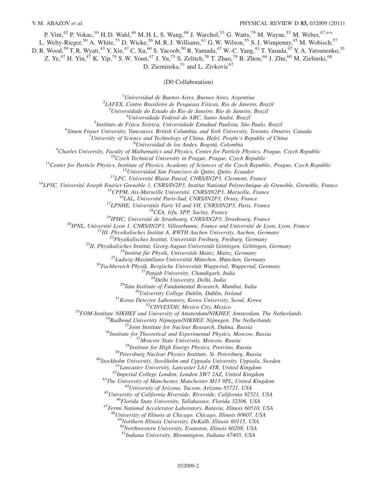P. Vint,<sup>42</sup> P. Vokac,<sup>10</sup> H. D. Wahl,<sup>46</sup> M. H. L. S. Wang,<sup>68</sup> J. Warchol,<sup>53</sup> G. Watts,<sup>79</sup> M. Wayne,<sup>53</sup> M. Weber,<sup>47,\*\*</sup>

L. Welty-Rieger,<sup>50</sup> A. White,<sup>75</sup> D. Wicke,<sup>26</sup> M. R. J. Williams,<sup>41</sup> G. W. Wilson,<sup>55</sup> S. J. Wimpenny,<sup>45</sup> M. Wobisch,<sup>57</sup>

D. R. Wood,<sup>59</sup> T. R. Wyatt,<sup>43</sup> Y. Xie,<sup>47</sup> C. Xu,<sup>60</sup> S. Yacoob,<sup>50</sup> R. Yamada,<sup>47</sup> W.-C. Yang,<sup>43</sup> T. Yasuda,<sup>47</sup> Y. A. Yatsunenko,<sup>35</sup>

Z. Ye,<sup>47</sup> H. Yin,<sup>47</sup> K. Yip,<sup>70</sup> S. W. Youn,<sup>47</sup> J. Yu,<sup>75</sup> S. Zelitch,<sup>78</sup> T. Zhao,<sup>79</sup> B. Zhou,<sup>60</sup> J. Zhu,<sup>60</sup> M. Zielinski,<sup>68</sup>

D. Zieminska, $51$  and L. Zivkovic<sup>67</sup>

(D0 Collaboration)

<sup>1</sup>Universidad de Buenos Aires, Buenos Aires, Argentina  $^{1}$ Universidad de Buenos Aires, Buenos Aires, Argentina<br> $^{2}I$ AEEV, Centre Prasileiro de Pesquisas Eísiags, Pio de Japair

LAFEX, Centro Brasileiro de Pesquisas Físicas, Rio de Janeiro, Brazil<br><sup>3</sup> Universidade de Estado do Rio de Janeiro, Rio de Janeiro, Brazil

 $3$ Universidade do Estado do Rio de Janeiro, Rio de Janeiro, Brazil

 $^{4}$ Universidade Federal do ABC, Santo André, Brazil

<sup>5</sup>Instituto de Física Teórica, Universidade Estadual Paulista, São Paulo, Brazil

<sup>6</sup>Simon Fraser University, Vancouver, British Columbia, and York University, Toronto, Ontario, Canada

University of Science and Technology of China, Hefei, People's Republic of China<br><sup>8</sup>Universidad de los Andes, Bogotá, Colombia

 $^9$ Charles University, Faculty of Mathematics and Physics, Center for Particle Physics, Prague, Czech Republic

Charles University, Faculty of Mathematics and Physics, Center for Particle Physics, Prague, Czech Republic <sup>10</sup>Czech Technical University in Prague, Prague, Czech Republic <sup>11</sup>Center for Particle Physics, Institute of Physics, Academy of Sciences of the Czech Republic, Prague, Czech Republic <sup>12</sup>Universidad San Francisco de Quito, Quito, Ecuador <sup>13</sup>LPC, Universite´ Blaise Pascal, CNRS/IN2P3, Clermont, France <sup>14</sup>LPSC, Universite´ Joseph Fourier Grenoble 1, CNRS/IN2P3, Institut National Polytechnique de Grenoble, Grenoble, France <sup>15</sup>CPPM, Aix-Marseille Universite´, CNRS/IN2P3, Marseille, France <sup>16</sup>LAL, Universite´ Paris-Sud, CNRS/IN2P3, Orsay, France <sup>17</sup>LPNHE, Universite´s Paris VI and VII, CNRS/IN2P3, Paris, France <sup>18</sup>CEA, Irfu, SPP, Saclay, France <sup>19</sup>IPHC, Universite´ de Strasbourg, CNRS/IN2P3, Strasbourg, France <sup>20</sup>IPNL, Universite´ Lyon 1, CNRS/IN2P3, Villeurbanne, France and Universite´ de Lyon, Lyon, France <sup>21</sup>III. Physikalisches Institut A, RWTH Aachen University, Aachen, Germany <sup>22</sup>Physikalisches Institut, Universita¨t Freiburg, Freiburg, Germany <sup>23</sup>II. Physikalisches Institut, Georg-August-Universita¨t Go¨ttingen, Go¨ttingen, Germany <sup>24</sup>Institut fu¨r Physik, Universita¨t Mainz, Mainz, Germany <sup>25</sup>Ludwig-Maximilians-Universita¨t Mu¨nchen, Mu¨nchen, Germany <sup>26</sup>Fachbereich Physik, Bergische Universita¨t Wuppertal, Wuppertal, Germany <sup>27</sup>Panjab University, Chandigarh, India <sup>28</sup>Delhi University, Delhi, India <sup>29</sup>Tata Institute of Fundamental Research, Mumbai, India <sup>30</sup>University College Dublin, Dublin, Ireland <sup>31</sup>Korea Detector Laboratory, Korea University, Seoul, Korea <sup>32</sup>CINVESTAV, Mexico City, Mexico <sup>33</sup>FOM-Institute NIKHEF and University of Amsterdam/NIKHEF, Amsterdam, The Netherlands <sup>34</sup>Radboud University Nijmegen/NIKHEF, Nijmegen, The Netherlands <sup>35</sup>Joint Institute for Nuclear Research, Dubna, Russia <sup>36</sup>Institute for Theoretical and Experimental Physics, Moscow, Russia <sup>37</sup>Moscow State University, Moscow, Russia <sup>38</sup>Institute for High Energy Physics, Protvino, Russia <sup>39</sup>Petersburg Nuclear Physics Institute, St. Petersburg, Russia <sup>40</sup>Stockholm University, Stockholm and Uppsala University, Uppsala, Sweden <sup>41</sup>Lancaster University, Lancaster LA1 4YB, United Kingdom <sup>42</sup>Imperial College London, London SW7 2AZ, United Kingdom <sup>43</sup>The University of Manchester, Manchester M13 9PL, United Kingdom <sup>44</sup>University of Arizona, Tucson, Arizona 85721, USA <sup>45</sup>University of California Riverside, Riverside, California 92521, USA <sup>46</sup>Florida State University, Tallahassee, Florida 32306, USA <sup>47</sup>Fermi National Accelerator Laboratory, Batavia, Illinois 60510, USA

 $^{48}$ University of Illinois at Chicago, Chicago, Illinois 60607, USA

<sup>49</sup>Northern Illinois University, DeKalb, Illinois 60115, USA

<sup>50</sup>Northwestern University, Evanston, Illinois 60208, USA

 $51$ Indiana University, Bloomington, Indiana 47405, USA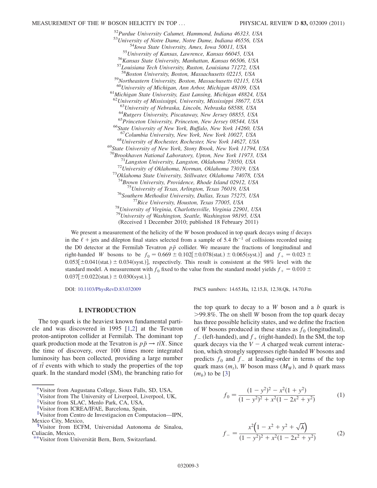<sup>52</sup>Purdue University Calumet, Hammond, Indiana 46323, USA<br><sup>53</sup>University of Notre Dame, Notre Dame, Indiana 46556, USA<br><sup>54</sup>Iowa State University, Ames, Iowa 50011, USA<br><sup>55</sup>University of Kansas, Lawrence, Kansas 66045, US 59 Northeastern University, Boston, Massachusetts 02115, USA <sup>60</sup>University of Michigan, Ann Arbor, Michigan 48109, USA<br><sup>61</sup>Michigan State University, East Lansing, Michigan 48824, USA  $^{62}$ University of Mississippi, University, Mississippi 38677, USA<br> $^{63}$ University of Nebraska, Lincoln, Nebraska 68588, USA  $^{64}$ Rutgers University, Piscataway, New Jersey 08855, USA<br> $^{65}$ Princeton University, Princeton, New Jersey 08544, USA<br> $^{66}$ State University of New York, Buffalo, New York 14260, USA <sup>67</sup>Columbia University, New York, New York 10027, USA<br><sup>68</sup>University of Rochester, Rochester, New York 14627, USA<br><sup>69</sup>State University of New York, Stony Brook, New York 11794, USA<br><sup>70</sup>Brookhaven National Laboratory, Upt <sup>71</sup>Langston University, Langston, Oklahoma 73050, USA<br><sup>72</sup>University of Oklahoma, Norman, Oklahoma 73019, USA<br><sup>73</sup>Oklahoma State University, Stillwater, Oklahoma 74078, USA <sup>74</sup>Brown University, Providence, Rhode Island 02912, USA<br><sup>75</sup>University of Texas, Arlington, Texas 76019, USA<br><sup>76</sup>Southern Methodist University, Dallas, Texas 75275, USA<br><sup>77</sup>Rice University, Houston, Texas 77005, USA<br><sup>78</sup> <sup>79</sup>University of Washington, Seattle, Washington 98195, USA (Received 1 December 2010; published 18 February 2011)

We present a measurement of the helicity of the W boson produced in top quark decays using  $t\bar{t}$  decays in the  $\ell$  + jets and dilepton final states selected from a sample of 5.4 fb<sup>-1</sup> of collisions recorded using the D0 detector at the Fermilab Tevatron  $p\bar{p}$  collider. We measure the fractions of longitudinal and right-handed W bosons to be  $f_0 = 0.669 \pm 0.102[\pm 0.078(stat.) \pm 0.065(syst.)]$  and  $f_+ = 0.023 \pm 0.053[\pm 0.041(stat.) \pm 0.034(syst.)]$  respectively. This result is consistent at the 98% layel with the  $0.053[\pm 0.041(\text{stat.}) \pm 0.034(\text{syst.})]$ , respectively. This result is consistent at the 98% level with the standard model A measurement with f fixed to the value from the standard model vields  $f = 0.010 +$ standard model. A measurement with  $f_0$  fixed to the value from the standard model yields  $f_+ = 0.010 \pm 0.037$   $[+0.030$  (syet) 1  $0.037[\pm 0.022(stat.) \pm 0.030(syst.).]$ 

DOI: [10.1103/PhysRevD.83.032009](http://dx.doi.org/10.1103/PhysRevD.83.032009) PACS numbers: 14.65.Ha, 12.15.Ji, 12.38.Qk, 14.70.Fm

#### I. INTRODUCTION

The top quark is the heaviest known fundamental particle and was discovered in 1995 [[1](#page-17-0)[,2\]](#page-17-1) at the Tevatron proton-antiproton collider at Fermilab. The dominant top quark production mode at the Tevatron is  $p\bar{p} \rightarrow t\bar{t}X$ . Since the time of discovery, over 100 times more integrated luminosity has been collected, providing a large number of  $t\bar{t}$  events with which to study the properties of the top quark. In the standard model  $(SM)$ , the branching ratio for quark. In the standard model (SM), the branching ratio for the top quark to decay to a  $W$  boson and a  $b$  quark is  $>99.8\%$ . The on shell W boson from the top quark decay has three possible helicity states, and we define the fraction of W bosons produced in these states as  $f_0$  (longitudinal),  $f_{-}$  (left-handed), and  $f_{+}$  (right-handed). In the SM, the top quark decays via the  $V - A$  charged weak current interaction, which strongly suppresses right-handed W bosons and predicts  $f_0$  and  $f_$  at leading-order in terms of the top quark mass  $(m_t)$ , W boson mass  $(M_W)$ , and b quark mass  $(m_h)$  to be [\[3](#page-17-2)]

$$
f_0 = \frac{(1 - y^2)^2 - x^2(1 + y^2)}{(1 - y^2)^2 + x^2(1 - 2x^2 + y^2)}
$$
 (1)

$$
f_{-} = \frac{x^2 \left(1 - x^2 + y^2 + \sqrt{\lambda}\right)}{(1 - y^2)^2 + x^2 (1 - 2x^2 + y^2)}
$$
(2)

<span id="page-2-0"></span>[<sup>\\*</sup>V](#page-0-0)isitor from Augustana College, Sioux Falls, SD, USA,

<span id="page-2-1"></span>[<sup>†</sup>](#page-0-1) Visitor from The University of Liverpool, Liverpool, UK,

<span id="page-2-2"></span>[<sup>‡</sup>](#page-0-2) Visitor from SLAC, Menlo Park, CA, USA,

<sup>&</sup>lt;sup>§</sup>Visitor from ICREA/IFAE, Barcelona, Spain,

<sup>&</sup>quot;Visitor from Centro de Investigacion en Computacion—IPN, Mexico City, Mexico,

<sup>{</sup> Visitor from ECFM, Universidad Autonoma de Sinaloa, Culiacán, Mexico,<br>\*\*Visitor from Universität Bern, Bern, Switzerland.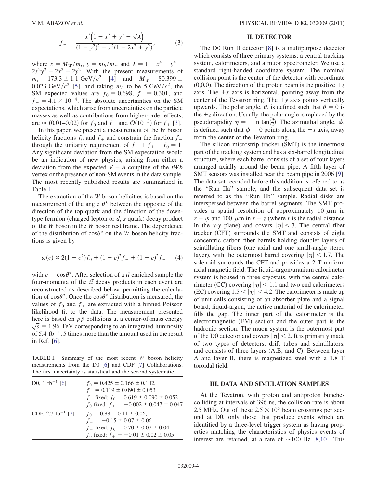$$
f_{+} = \frac{x^{2}(1 - x^{2} + y^{2} - \sqrt{\lambda})}{(1 - y^{2})^{2} + x^{2}(1 - 2x^{2} + y^{2})},
$$
(3)

where  $x = M_W/m_t$ ,  $y = m_b/m_t$ , and  $\lambda = 1 + x^4 + y^4$  –  $2x^2y^2 - 2x^2 - 2y^2$ . With the present measurements of  $m_t = 173.3 \pm 1.1 \text{ GeV}/c^2$  [[4](#page-17-3)] and  $M_W = 80.399 \pm 0.023 \text{ GeV}/c^2$  [5] and taking m. to be 5 GeV/ $c^2$  the 0.023 GeV/ $c^2$  [\[5\]](#page-17-4), and taking  $m_b$  to be 5 GeV/ $c^2$ , the SM expected values are  $f_0 = 0.698$ ,  $f_ - = 0.301$ , and  $f_+ = 4.1 \times 10^{-4}$ . The absolute uncertainties on the SM expectations, which arise from uncertainties on the particle masses as well as contributions from higher-order effects, are  $\approx$  (0.01–0.02) for  $f_0$  and  $f_-$  and  $\mathcal{O}(10^{-3})$  $\mathcal{O}(10^{-3})$  $\mathcal{O}(10^{-3})$  for  $f_+$  [3].

In this paper, we present a measurement of the W boson helicity fractions  $f_0$  and  $f_+$  and constrain the fraction  $f_$ through the unitarity requirement of  $f_{-} + f_{+} + f_0 = 1$ . Any significant deviation from the SM expectation would be an indication of new physics, arising from either a deviation from the expected  $V - A$  coupling of the tWb vertex or the presence of non-SM events in the data sample. The most recently published results are summarized in Table [I.](#page-3-0)

The extraction of the W boson helicities is based on the measurement of the angle  $\theta^*$  between the opposite of the direction of the top quark and the direction of the downtype fermion (charged lepton or  $d$ ,  $s$  quark) decay product of the W boson in the W boson rest frame. The dependence of the distribution of  $\cos\theta^*$  on the W boson helicity fractions is given by tions is given by

<span id="page-3-1"></span>
$$
\omega(c) \propto 2(1 - c^2)f_0 + (1 - c)^2 f_- + (1 + c)^2 f_+ \tag{4}
$$

with  $c = \cos \theta^*$ . After selection of a *tt* enriched sample the four-momenta of the *tt* decay products in each event are four-momenta of the  $t\bar{t}$  decay products in each event are reconstructed as described below permitting the calcula reconstructed as described below, permitting the calculation of  $\cos\theta^*$ . Once the  $\cos\theta^*$  distribution is measured, the values of  $f_0$  and  $f_1$  are extracted with a binned Poisson values of  $f_0$  and  $f_+$  are extracted with a binned Poisson likelihood fit to the data. The measurement presented here is based on  $p\bar{p}$  collisions at a center-of-mass energy  $\sqrt{s}$  = 1.96 TeV corresponding to an integrated luminosity of 5.4 fb<sup>-1</sup>, 5 times more than the amount used in the result in Ref. [\[6\]](#page-17-5).

<span id="page-3-0"></span>TABLE I. Summary of the most recent W boson helicity measurements from the D0 [\[6](#page-17-5)] and CDF [\[7](#page-17-9)] Collaborations. The first uncertainty is statistical and the second systematic.

| D0, 1 fb <sup>-1</sup> [6]    | $f_0 = 0.425 \pm 0.166 \pm 0.102$ ,<br>$f_+ = 0.119 \pm 0.090 \pm 0.053$<br>$f_+$ fixed: $f_0 = 0.619 \pm 0.090 \pm 0.052$<br>$f_0$ fixed: $f_+ = -0.002 \pm 0.047 \pm 0.047$ |
|-------------------------------|-------------------------------------------------------------------------------------------------------------------------------------------------------------------------------|
| CDF, 2.7 fb <sup>-1</sup> [7] | $f_0 = 0.88 \pm 0.11 \pm 0.06$ ,<br>$f_{+} = -0.15 \pm 0.07 \pm 0.06$<br>$f_{+}$ fixed: $f_{0} = 0.70 \pm 0.07 \pm 0.04$<br>$f_0$ fixed: $f_+ = -0.01 \pm 0.02 \pm 0.05$      |

### II. DETECTOR

The D0 Run II detector [\[8\]](#page-17-6) is a multipurpose detector which consists of three primary systems: a central tracking system, calorimeters, and a muon spectrometer. We use a standard right-handed coordinate system. The nominal collision point is the center of the detector with coordinate (0,0,0). The direction of the proton beam is the positive  $+z$ axis. The  $+x$  axis is horizontal, pointing away from the center of the Tevatron ring. The  $+y$  axis points vertically upwards. The polar angle,  $\theta$ , is defined such that  $\theta = 0$  is the  $+z$  direction Hsually the polar angle is replaced by the the  $+z$  direction. Usually, the polar angle is replaced by the pseudorapidity  $\eta = -\ln \tan(\frac{\theta}{2})$ . The azimuthal angle,  $\phi$ , is defined such that  $\phi = 0$  points along the + x axis, away is defined such that  $\phi = 0$  points along the  $+x$  axis, away from the center of the Tevatron ring.

The silicon microstrip tracker (SMT) is the innermost part of the tracking system and has a six-barrel longitudinal structure, where each barrel consists of a set of four layers arranged axially around the beam pipe. A fifth layer of SMT sensors was installed near the beam pipe in 2006 [[9\]](#page-17-7). The data set recorded before this addition is referred to as the ''Run IIa'' sample, and the subsequent data set is referred to as the ''Run IIb'' sample. Radial disks are interspersed between the barrel segments. The SMT provides a spatial resolution of approximately 10  $\mu$ m in  $r - \phi$  and 100  $\mu$ m in  $r - z$  (where r is the radial distance in the x-y plane) and covers  $|\eta| < 3$ . The central fiber tracker (CFT) surrounds the SMT and consists of eight concentric carbon fiber barrels holding doublet layers of scintillating fibers (one axial and one small-angle stereo layer), with the outermost barrel covering  $|\eta|$  < 1.7. The solenoid surrounds the CFT and provides a 2 T uniform axial magnetic field. The liquid-argon/uranium calorimeter system is housed in three cryostats, with the central calorimeter (CC) covering  $|\eta|$  < 1.1 and two end calorimeters (EC) covering  $1.5 < |\eta| < 4.2$ . The calorimeter is made up of unit cells consisting of an absorber plate and a signal board; liquid-argon, the active material of the calorimeter, fills the gap. The inner part of the calorimeter is the electromagnetic (EM) section and the outer part is the hadronic section. The muon system is the outermost part of the D0 detector and covers  $|\eta| < 2$ . It is primarily made of two types of detectors, drift tubes and scintillators, and consists of three layers (A,B, and C). Between layer A and layer B, there is magnetized steel with a 1.8 T toroidal field.

#### III. DATA AND SIMULATION SAMPLES

At the Tevatron, with proton and antiproton bunches colliding at intervals of 396 ns, the collision rate is about 2.5 MHz. Out of these  $2.5 \times 10^6$  beam crossings per second at D0, only those that produce events which are identified by a three-level trigger system as having properties matching the characteristics of physics events of interest are retained, at a rate of  $\sim$ 100 Hz [\[8,](#page-17-6)[10\]](#page-17-8). This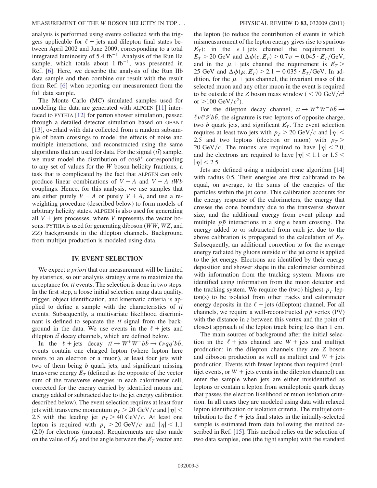analysis is performed using events collected with the triggers applicable for  $\ell$  + jets and dilepton final states between April 2002 and June 2009, corresponding to a total integrated luminosity of 5.4 fb<sup>-1</sup>. Analysis of the Run IIa sample, which totals about 1 fb<sup>-1</sup>, was presented in Ref. [[6\]](#page-17-5). Here, we describe the analysis of the Run IIb data sample and then combine our result with the result from Ref. [\[6](#page-17-5)] when reporting our measurement from the full data sample.

The Monte Carlo (MC) simulated samples used for modeling the data are generated with ALPGEN [[11](#page-17-10)] interfaced to PYTHIA [\[12\]](#page-17-11) for parton shower simulation, passed through a detailed detector simulation based on GEANT [\[13\]](#page-17-12), overlaid with data collected from a random subsample of beam crossings to model the effects of noise and multiple interactions, and reconstructed using the same algorithms that are used for data. For the signal  $(t\bar{t})$  sample,<br>we must model the distribution of  $\cos \theta^*$  corresponding we must model the distribution of  $cos\theta^*$  corresponding<br>to any set of values for the W boson helicity fractions a to any set of values for the W boson helicity fractions, a task that is complicated by the fact that ALPGEN can only produce linear combinations of  $V - A$  and  $V + A$  tWb couplings. Hence, for this analysis, we use samples that are either purely  $V - A$  or purely  $V + A$ , and use a reweighting procedure (described below) to form models of arbitrary helicity states. ALPGEN is also used for generating all  $V +$  jets processes, where V represents the vector bosons. PYTHIA is used for generating diboson (WW, WZ, and ZZ) backgrounds in the dilepton channels. Background from multijet production is modeled using data.

### IV. EVENT SELECTION

We expect *a priori* that our measurement will be limited by statistics, so our analysis strategy aims to maximize the  $\alpha$  acceptance for *tt* events. The selection is done in two steps.<br>In the first step a loose initial selection using data quality In the first step, a loose initial selection using data quality, trigger, object identification, and kinematic criteria is applied to define a sample with the characteristics of  $t\bar{t}$ events. Subsequently, a multivariate likelihood discriminant is defined to separate the  $t\bar{t}$  signal from the back-<br>ground in the data. We use events in the  $\ell + \text{i}$  ats and ground in the data. We use events in the  $\ell$  + jets and dilepton  $t\bar{t}$  decay channels, which are defined below.<br>
In the  $\ell + \text{i}$  decay  $t\bar{t} \rightarrow W^+W^-h\bar{h} \rightarrow \ell u\bar{g}$ 

In the  $\ell + \text{jets}$  decay  $t\bar{t} \to W^+W^-b\bar{b} \to \ell \nu q q' b\bar{b}$ , events contain one charged lepton (where lepton here refers to an electron or a muon), at least four jets with two of them being b quark jets, and significant missing transverse energy  $E_T$  (defined as the opposite of the vector sum of the transverse energies in each calorimeter cell, corrected for the energy carried by identified muons and energy added or subtracted due to the jet energy calibration described below). The event selection requires at least four jets with transverse momentum  $p_T > 20 \text{ GeV}/c$  and  $|\eta|$  < 2.5 with the leading jet  $p_T > 40 \text{ GeV}/c$ . At least one lepton is required with  $p<sub>T</sub> > 20 \text{ GeV}/c$  and  $|\eta| < 1.1$ (2.0) for electrons (muons). Requirements are also made on the value of  $E_T$  and the angle between the  $E_T$  vector and the lepton (to reduce the contribution of events in which mismeasurement of the lepton energy gives rise to spurious  $E_T$ : in the e + jets channel the requirement is  $\cancel{E_T} > 20$  GeV and  $\Delta \phi(e, E_T) > 0.7\pi - 0.045 \cdot \cancel{E_T}$  GeV,<br>and in the  $\mu$  + jets channel the requirement is  $\cancel{E_T} > 0$ and in the  $\mu$  + jets channel the requirement is  $E_T$  > 25 GeV and  $\Delta \phi(\mu, E_T) > 2.1 - 0.035 \cdot E_T/\text{GeV}$ . In addition for the  $\mu$  + jets channel, the invariant mass of the dition, for the  $\mu$  + jets channel, the invariant mass of the selected muon and any other muon in the event is required to be outside of the Z boson mass window (  $\langle 70 \text{ GeV}/c^2 \rangle$ or  $>100 \text{ GeV}/c^2$ ).

For the dilepton decay channel,  $t\bar{t} \rightarrow W^+W^-b\bar{b} \rightarrow$  $\bar{\ell} \nu \ell' \bar{\nu'} b \bar{b}$ , the signature is two leptons of opposite charge,<br>two *b* quark jets, and significant  $\ell'$ . The event selection two b quark jets, and significant  $E_T$ . The event selection requires at least two jets with  $p_T > 20$  GeV/c and  $|\eta|$  < 2.5 and two leptons (electron or muon) with  $p_T >$ 20 GeV/c. The muons are required to have  $|\eta|$  < 2.0, and the electrons are required to have  $|\eta|$  < 1.1 or 1.5 <  $|\eta|$  < 2.5.

Jets are defined using a midpoint cone algorithm [\[14\]](#page-17-13) with radius 0.5. Their energies are first calibrated to be equal, on average, to the sums of the energies of the particles within the jet cone. This calibration accounts for the energy response of the calorimeters, the energy that crosses the cone boundary due to the transverse shower size, and the additional energy from event pileup and multiple  $p\bar{p}$  interactions in a single beam crossing. The energy added to or subtracted from each jet due to the above calibration is propagated to the calculation of  $E_T$ . Subsequently, an additional correction to for the average energy radiated by gluons outside of the jet cone is applied to the jet energy. Electrons are identified by their energy deposition and shower shape in the calorimeter combined with information from the tracking system. Muons are identified using information from the muon detector and the tracking system. We require the (two) highest- $p<sub>T</sub>$  lepton(s) to be isolated from other tracks and calorimeter energy deposits in the  $\ell$  + jets (dilepton) channel. For all channels, we require a well-reconstructed  $p\bar{p}$  vertex (PV) with the distance in  $\zeta$  between this vertex and the point of closest approach of the lepton track being less than 1 cm.

The main sources of background after the initial selection in the  $\ell$  + jets channel are  $W$  + jets and multijet production; in the dilepton channels they are Z boson and diboson production as well as multijet and  $W + j$ ets production. Events with fewer leptons than required (multijet events, or  $W +$  jets events in the dilepton channel) can enter the sample when jets are either misidentified as leptons or contain a lepton from semileptonic quark decay that passes the electron likelihood or muon isolation criterion. In all cases they are modeled using data with relaxed lepton identification or isolation criteria. The multijet contribution to the  $\ell$  + jets final states in the initially-selected sample is estimated from data following the method described in Ref. [[15](#page-17-14)]. This method relies on the selection of two data samples, one (the tight sample) with the standard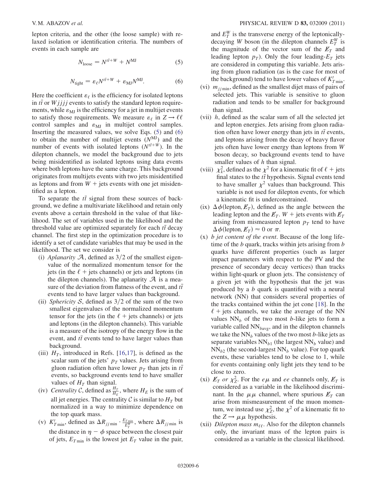<span id="page-5-1"></span>lepton criteria, and the other (the loose sample) with relaxed isolation or identification criteria. The numbers of events in each sample are

$$
N_{\text{loose}} = N^{t\bar{t} + W} + N^{\text{MJ}} \tag{5}
$$

$$
N_{\text{tight}} = \varepsilon_\ell N^{t\bar{t} + W} + \varepsilon_{\text{MJ}} N^{\text{MJ}}.\tag{6}
$$

<span id="page-5-0"></span>Here the coefficient  $\varepsilon_{\ell}$  is the efficiency for isolated leptons in  $t\bar{t}$  or  $Wjjjj$  events to satisfy the standard lepton require-<br>ments, while  $s$  is the efficiency for a jet in multijet events ments, while  $\varepsilon_{\text{MI}}$  is the efficiency for a jet in multijet events to satisfy those requirements. We measure  $\varepsilon_{\ell}$  in  $Z \to \ell \ell$ control samples and  $\varepsilon_{\text{MJ}}$  in multijet control samples. Inserting the measured values, we solve Eqs. ([5\)](#page-5-0) and [\(6\)](#page-5-1) to obtain the number of multijet events  $(N^{\text{MJ}})$  and the number of events with isolated leptons  $(N^{t\bar{t}+W})$ . In the dilepton channels, we model the background due to jets being misidentified as isolated leptons using data events where both leptons have the same charge. This background originates from multijets events with two jets misidentified as leptons and from  $W +$  jets events with one jet misidentified as a lepton.

To separate the  $t\bar{t}$  signal from these sources of back-<br>and we define a multivariate likelihood and ratain only ground, we define a multivariate likelihood and retain only events above a certain threshold in the value of that likelihood. The set of variables used in the likelihood and the threshold value are optimized separately for each  $t\bar{t}$  decay channel. The first step in the optimization procedure is to identify a set of candidate variables that may be used in the likelihood. The set we consider is

- (i) Aplanarity  $A$ , defined as  $3/2$  of the smallest eigenvalue of the normalized momentum tensor for the jets (in the  $\ell$  + jets channels) or jets and leptons (in the dilepton channels). The aplanarity  $\mathcal A$  is a measure of the deviation from flatness of the event, and  $t\bar{t}$ <br>events tend to have larger values than background events tend to have larger values than background.
- (ii) Sphericity S, defined as  $3/2$  of the sum of the two smallest eigenvalues of the normalized momentum tensor for the jets (in the  $\ell$  + jets channels) or jets and leptons (in the dilepton channels). This variable is a measure of the isotropy of the energy flow in the event, and  $t\bar{t}$  events tend to have larger values than background.
- (iii)  $H_T$ , introduced in Refs. [[16](#page-17-15),[17](#page-17-16)], is defined as the scalar sum of the jets'  $p_T$  values. Jets arising from gluon radiation often have lower  $p<sub>T</sub>$  than jets in  $t\bar{t}$ events, so background events tend to have smaller values of  $H_T$  than signal.
- (iv) Centrality C, defined as  $\frac{H_T}{H_E}$ , where  $H_E$  is the sum of all jet energies. The centrality C is similar to  $H_T$  but normalized in a way to minimize dependence on the top quark mass.
- (v)  $K'_{T \text{min}}$ , defined as  $\Delta R_{jj \text{min}} \cdot \frac{E_{T \text{min}}}{E_T^W}$ , where  $\Delta R_{jj \text{min}}$  is the distance in  $\eta - \phi$  space between the closest pair of jets,  $E_{T_{\text{min}}}$  is the lowest jet  $E_T$  value in the pair,

and  $E_T^W$  is the transverse energy of the leptonicallydecaying W boson (in the dilepton channels  $E_T^W$  is the magnitude of the vector sum of the  $E_T$  and leading lepton  $p<sub>T</sub>$ ). Only the four leading- $E<sub>T</sub>$  jets are considered in computing this variable. Jets arising from gluon radiation (as is the case for most of the background) tend to have lower values of  $K_{T,\text{min}}'$ .<br> $m_{\text{max}}$ , defined as the smallest dijet mass of pairs of

- (vi)  $m_{ij \text{ min}}$ , defined as the smallest dijet mass of pairs of selected jets. This variable is sensitive to gluon radiation and tends to be smaller for background than signal.
- (vii)  $h$ , defined as the scalar sum of all the selected jet and lepton energies. Jets arising from gluon radiation often have lower energy than jets in  $t\bar{t}$  events, and leptons arising from the decay of heavy flavor jets often have lower energy than leptons from W boson decay, so background events tend to have smaller values of h than signal.
- (viii)  $\chi^2_k$ , defined as the  $\chi^2$  for a kinematic fit of  $\ell$  + jets final states to the  $t\bar{t}$  hypothesis. Signal events tend<br>to have smaller  $y^2$  values than background. This to have smaller  $\chi^2$  values than background. This variable is not used for dilepton events, for which a kinematic fit is underconstrained.
- (ix)  $\Delta \phi$  (lepton,  $E_T$ ), defined as the angle between the leading lepton and the  $F_{\infty}$  W + jets events with  $F_{\infty}$ leading lepton and the  $E_T$ .  $W$  + jets events with  $E_T$ arising from mismeasured lepton  $p_T$  tend to have  $\Delta \phi$ (lepton,  $E_T \geq 0$  or  $\pi$ .
- (x) b jet content of the event. Because of the long lifetime of the  $b$  quark, tracks within jets arising from  $b$ quarks have different properties (such as larger impact parameters with respect to the PV and the presence of secondary decay vertices) than tracks within light-quark or gluon jets. The consistency of a given jet with the hypothesis that the jet was produced by a b quark is quantified with a neural network (NN) that considers several properties of the tracks contained within the jet cone [[18](#page-17-17)]. In the  $\ell$  + jets channels, we take the average of the NN values  $NN_b$  of the two most b-like jets to form a variable called  $NN_{bavg}$ , and in the dilepton channels we take the  $NN_b$  values of the two most b-like jets as separate variables  $NN_{b1}$  (the largest  $NN_b$  value) and  $NN_{b2}$  (the second-largest  $NN_b$  value). For top quark events, these variables tend to be close to 1, while for events containing only light jets they tend to be close to zero.
- (xi)  $E_T$  or  $\chi^2$ . For the  $e\mu$  and ee channels only,  $E_T$  is considered as a variable in the likelihood discriminant. In the  $\mu\mu$  channel, where spurious  $E_T$  can arise from mismeasurement of the muon momentum, we instead use  $\chi^2$ , the  $\chi^2$  of a kinematic fit to the  $Z \rightarrow \mu \mu$  hypothesis.
- (xii) Dilepton mass  $m_{\ell\ell}$ . Also for the dilepton channels only, the invariant mass of the lepton pairs is considered as a variable in the classical likelihood.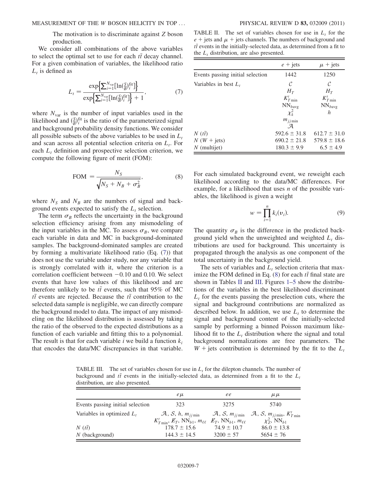The motivation is to discriminate against Z boson production.

<span id="page-6-0"></span>We consider all combinations of the above variables to select the optimal set to use for each  $t\bar{t}$  decay channel.<br>For a given combination of variables, the likelihood ratio For a given combination of variables, the likelihood ratio  $L_t$  is defined as

$$
L_{t} = \frac{\exp\left\{\sum_{i=1}^{N_{\text{var}}}\left[\ln\left(\frac{S}{B}\right)^{\text{fit}}_{i}\right]\right\}}{\exp\left\{\sum_{i=1}^{N_{\text{var}}}\left[\ln\left(\frac{S}{B}\right)^{\text{fit}}_{i}\right]\right\} + 1},\tag{7}
$$

where  $N_{\text{var}}$  is the number of input variables used in the likelihood and  $(\frac{S}{B})_i^{\text{fit}}$  is the ratio of the parameterized signal and background probability density functions. We consider all possible subsets of the above variables to be used in  $L_t$ and scan across all potential selection criteria on  $L_t$ . For each  $L<sub>t</sub>$  definition and prospective selection criterion, we compute the following figure of merit (FOM):

$$
\text{FOM} = \frac{N_S}{\sqrt{N_S + N_B + \sigma_B^2}},\tag{8}
$$

<span id="page-6-1"></span>where  $N<sub>S</sub>$  and  $N<sub>B</sub>$  are the numbers of signal and background events expected to satisfy the  $L_t$  selection.

The term  $\sigma_B$  reflects the uncertainty in the background selection efficiency arising from any mismodeling of the input variables in the MC. To assess  $\sigma_B$ , we compare each variable in data and MC in background-dominated samples. The background-dominated samples are created by forming a multivariate likelihood ratio (Eq. ([7\)](#page-6-0)) that does not use the variable under study, nor any variable that is strongly correlated with it, where the criterion is a correlation coefficient between  $-0.10$  and 0.10. We select events that have low values of this likelihood and are therefore unlikely to be  $t\bar{t}$  events, such that 95% of MC  $t\bar{t}$  events are rejected. Because the  $t\bar{t}$  contribution to the selected data sample is negligible, we can directly compare selected data sample is negligible, we can directly compare the background model to data. The impact of any mismodeling on the likelihood distribution is assessed by taking the ratio of the observed to the expected distributions as a function of each variable and fitting this to a polynomial. The result is that for each variable *i* we build a function  $k_i$ that encodes the data/MC discrepancies in that variable.

<span id="page-6-2"></span>TABLE II. The set of variables chosen for use in  $L_t$  for the  $e +$  jets and  $\mu$  + jets channels. The numbers of background and  $t\bar{t}$  events in the initially-selected data, as determined from a fit to the  $I_1$  distribution, are also presented the  $L_t$  distribution, are also presented.

|                                  | $e + \text{jets}$   | $\mu$ + jets     |
|----------------------------------|---------------------|------------------|
| Events passing initial selection | 1442                | 1250             |
| Variables in best $L_t$          | C                   | C                |
|                                  | $H_T$               | $H_T$            |
|                                  | $K'_{T\min}$        | $K'_{T\min}$     |
|                                  | $NN_{bavg}$         | $NN_{bavg}$      |
|                                  | $\chi^2_k$          | h                |
|                                  | $m_{ij \text{min}}$ |                  |
|                                  | .A                  |                  |
| $N(t\bar{t})$                    | $592.6 \pm 31.8$    | $612.7 \pm 31.0$ |
| $N(W + jets)$                    | $690.2 \pm 21.8$    | $579.8 \pm 18.6$ |
| $N$ (multijet)                   | $180.3 \pm 9.9$     | $6.5 \pm 4.9$    |

For each simulated background event, we reweight each likelihood according to the data/MC differences. For example, for a likelihood that uses  $n$  of the possible variables, the likelihood is given a weight

$$
w = \prod_{i=1}^{n} k_i(v_i).
$$
 (9)

The quantity  $\sigma_B$  is the difference in the predicted background yield when the unweighted and weighted  $L_t$  distributions are used for background. This uncertainty is propagated through the analysis as one component of the total uncertainty in the background yield.

The sets of variables and  $L_t$  selection criteria that maximize the FOM defined in Eq.  $(8)$  for each  $t\bar{t}$  final state are<br>shown in Tables II and III Figures 1.5 show the distribu shown in Tables [II](#page-6-2) and [III](#page-6-3). Figures [1](#page-7-0)–[5](#page-11-0) show the distributions of the variables in the best likelihood discriminant  $L<sub>t</sub>$  for the events passing the preselection cuts, where the signal and background contributions are normalized as described below. In addition, we use  $L_t$  to determine the signal and background content of the initially-selected sample by performing a binned Poisson maximum likelihood fit to the  $L<sub>t</sub>$  distribution where the signal and total background normalizations are free parameters. The  $W$  + jets contribution is determined by the fit to the  $L_t$ 

<span id="page-6-3"></span>TABLE III. The set of variables chosen for use in  $L<sub>t</sub>$  for the dilepton channels. The number of background and  $t\bar{t}$  events in the initially-selected data, as determined from a fit to the  $L_t$ distribution, are also presented.

|                                  | $e\mu$                                                                                                         | ee                                        | $\mu \mu$                                                                                                                                         |
|----------------------------------|----------------------------------------------------------------------------------------------------------------|-------------------------------------------|---------------------------------------------------------------------------------------------------------------------------------------------------|
| Events passing initial selection | 323                                                                                                            | 3275                                      | 5740                                                                                                                                              |
| Variables in optimized $L_t$     | $\mathcal{A}, \mathcal{S}, h, m_{j j \text{ min}}$<br>$K'_{T\min}$ , $E_T$ , NN <sub>b1</sub> , $m_{\ell\ell}$ | $E_T$ , NN <sub>b1</sub> , $m_{\ell\ell}$ | $\mathcal{A}, \mathcal{S}, m_{ij \text{min}} \quad \mathcal{A}, \mathcal{S}, m_{ij \text{min}}, K'_{T \text{min}}$<br>$\chi^2$ , NN <sub>b1</sub> |
| $N(t\bar{t})$                    | $178.7 \pm 15.6$                                                                                               | $74.9 \pm 10.7$                           | $86.0 \pm 13.8$                                                                                                                                   |
| $N$ (background)                 | $144.3 \pm 14.5$                                                                                               | $3200 \pm 57$                             | $5654 \pm 76$                                                                                                                                     |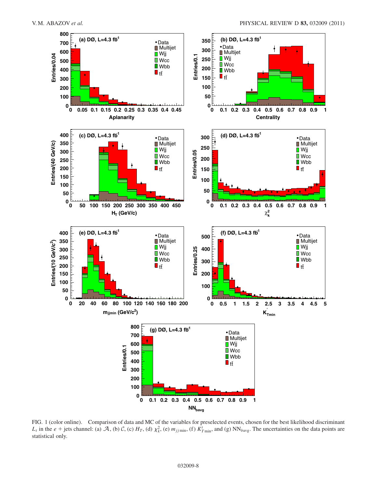<span id="page-7-0"></span>

FIG. 1 (color online). Comparison of data and MC of the variables for preselected events, chosen for the best likelihood discriminant  $L_t$  in the  $e + \text{jets}$  channel: (a)  $\mathcal{A}$ , (b)  $\mathcal{C}$ , (c)  $H_T$ , (d)  $\chi^2_k$ , (e)  $m_{jj\text{min}}$ , (f)  $\overline{K}'_{T\text{min}}$ , and (g) NN<sub>bavg</sub>. The uncertainties on the data points are statistical only.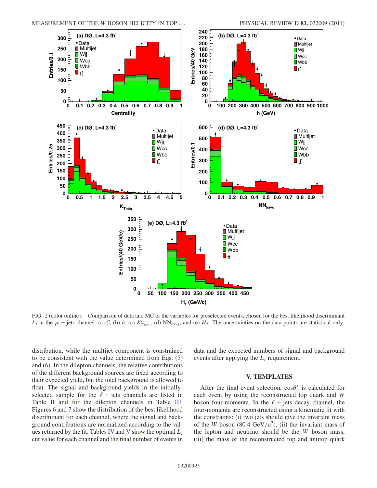

FIG. 2 (color online). Comparison of data and MC of the variables for preselected events, chosen for the best likelihood discriminant  $L_t$  in the  $\mu$  + jets channel: (a) C, (b) h, (c)  $K'_{T_{\text{min}}}$ , (d) NN<sub>bavg</sub>, and (e)  $H_T$ . The uncertainties on the data points are statistical only.

distribution, while the multijet component is constrained to be consistent with the value determined from Eqs. [\(5\)](#page-5-0) and [\(6](#page-5-1)). In the dilepton channels, the relative contributions of the different background sources are fixed according to their expected yield, but the total background is allowed to float. The signal and background yields in the initiallyselected sample for the  $\ell$  + jets channels are listed in Table [II](#page-6-2) and for the dilepton channels in Table [III](#page-6-3). Figures [6](#page-12-0) and [7](#page-12-1) show the distribution of the best likelihood discriminant for each channel, where the signal and background contributions are normalized according to the val-ues returned by the fit. Tables [IV](#page-12-2) and [V](#page-13-0) show the optimal  $L_t$ cut value for each channel and the final number of events in data and the expected numbers of signal and background events after applying the  $L_t$  requirement.

### V. TEMPLATES

After the final event selection,  $\cos\theta^*$  is calculated for event by using the reconstructed top quark and W each event by using the reconstructed top quark and W boson four-momenta. In the  $\ell$  + jets decay channel, the four-momenta are reconstructed using a kinematic fit with the constraints: (i) two jets should give the invariant mass of the W boson (80.4 GeV/ $c^2$ ), (ii) the invariant mass of the lepton and neutrino should be the W boson mass, (iii) the mass of the reconstructed top and antitop quark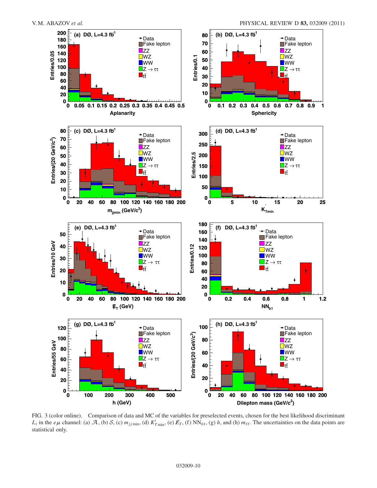

FIG. 3 (color online). Comparison of data and MC of the variables for preselected events, chosen for the best likelihood discriminant  $L_t$  in the  $e\mu$  channel: (a)  $\mathcal{A}$ , (b)  $\mathcal{S}$ , (c)  $m_{j j \text{ min}}$ , (d)  $K'_{T \text{ min}}$ , (e)  $E_T$ , (f)  $NN_{b1}$ , (g) h, and (h)  $m_{\ell\ell}$ . The uncertainties on the data points are statistical only.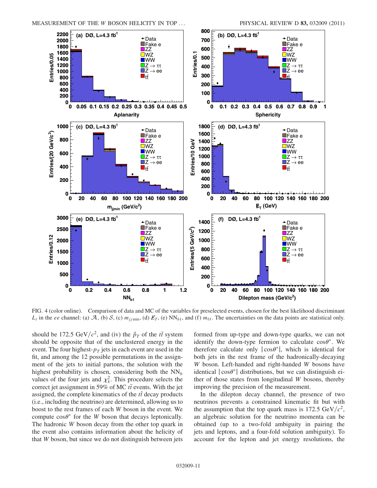

FIG. 4 (color online). Comparison of data and MC of the variables for preselected events, chosen for the best likelihood discriminant  $L_t$  in the ee channel: (a) A, (b) S, (c)  $m_{ij \text{min}}$ , (d)  $E_T$ , (e) NN<sub>b1</sub>, and (f)  $m_{\ell\ell}$ . The uncertainties on the data points are statistical only.

should be 172.5 GeV/ $c^2$ , and (iv) the  $\vec{p}_T$  of the tta system<br>should be opposite that of the unclustered energy in the should be opposite that of the unclustered energy in the event. The four highest- $p<sub>T</sub>$  jets in each event are used in the fit, and among the 12 possible permutations in the assignment of the jets to initial partons, the solution with the highest probability is chosen, considering both the  $NN<sub>b</sub>$ values of the four jets and  $\chi^2$ . This procedure selects the correct jet assignment in 59% of MC  $t\bar{t}$  events. With the jet<br>assigned, the complete kinematics of the  $t\bar{t}$  decay products assigned, the complete kinematics of the  $t\bar{t}$  decay products (i.e., including the neutrino) are determined, allowing us to (i.e., including the neutrino) are determined, allowing us to boost to the rest frames of each W boson in the event. We compute  $\cos\theta^*$  for the W boson that decays leptonically.<br>The hadronic W boson decay from the other top quark in The hadronic W boson decay from the other top quark in the event also contains information about the helicity of that W boson, but since we do not distinguish between jets

formed from up-type and down-type quarks, we can not identify the down-type fermion to calculate  $\cos\theta^*$ . We therefore calculate only  $|\cos\theta^*|$  which is identical for therefore calculate only  $|\cos\theta^*|$ , which is identical for hoth jets in the rest frame of the hadronically-decaying both jets in the rest frame of the hadronically-decaying W boson. Left-handed and right-handed W bosons have identical  $|\cos\theta^*|$  distributions, but we can distinguish either of those states from longitudinal W bosons, thereby ther of those states from longitudinal W bosons, thereby improving the precision of the measurement.

In the dilepton decay channel, the presence of two neutrinos prevents a constrained kinematic fit but with the assumption that the top quark mass is 172.5 GeV/ $c^2$ , an algebraic solution for the neutrino momenta can be obtained (up to a two-fold ambiguity in pairing the jets and leptons, and a four-fold solution ambiguity). To account for the lepton and jet energy resolutions, the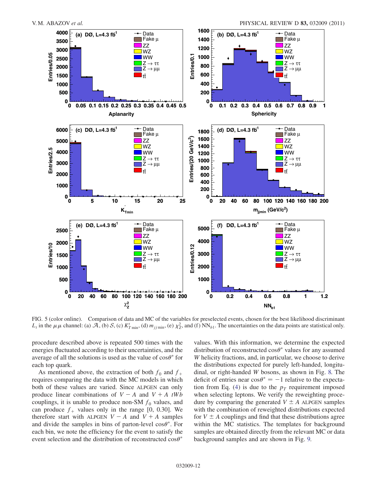<span id="page-11-0"></span>

FIG. 5 (color online). Comparison of data and MC of the variables for preselected events, chosen for the best likelihood discriminant  $L_t$  in the  $\mu\mu$  channel: (a)  $\mathcal{A}$ , (b)  $\mathcal{S}$ , (c)  $K'_{T}$  min, (d)  $m_{jj}$  min, (e)  $\chi^2_{Z}$ , and (f)  $NN_{b1}$ . The uncertainties on the data points are statistical only.

procedure described above is repeated 500 times with the energies fluctuated according to their uncertainties, and the average of all the solutions is used as the value of  $\cos\theta^*$  for each top quark each top quark.

As mentioned above, the extraction of both  $f_0$  and  $f_+$ requires comparing the data with the MC models in which both of these values are varied. Since ALPGEN can only produce linear combinations of  $V - A$  and  $V + A$  tWb couplings, it is unable to produce non-SM  $f_0$  values, and can produce  $f_+$  values only in the range [0, 0.30]. We therefore start with ALPGEN  $V - A$  and  $V + A$  samples and divide the samples in bins of parton-level  $\cos\theta^*$ . For each bin, we note the efficiency for the event to satisfy the event selection and the distribution of reconstructed  $\cos\theta^*$ 

values. With this information, we determine the expected distribution of reconstructed  $\cos\theta^*$  values for any assumed W helicity fractions, and in particular, we choose to derive W helicity fractions, and, in particular, we choose to derive the distributions expected for purely left-handed, longitudinal, or right-handed W bosons, as shown in Fig. [8.](#page-13-1) The deficit of entries near  $\cos \theta^* = -1$  relative to the expecta-<br>tion from Eq. (4) is due to the  $p_x$  requirement imposed tion from Eq. ([4\)](#page-3-1) is due to the  $p<sub>T</sub>$  requirement imposed when selecting leptons. We verify the reweighting procedure by comparing the generated  $V \pm A$  ALPGEN samples with the combination of reweighted distributions expected for  $V \pm A$  couplings and find that these distributions agree within the MC statistics. The templates for background samples are obtained directly from the relevant MC or data background samples and are shown in Fig. [9.](#page-14-0)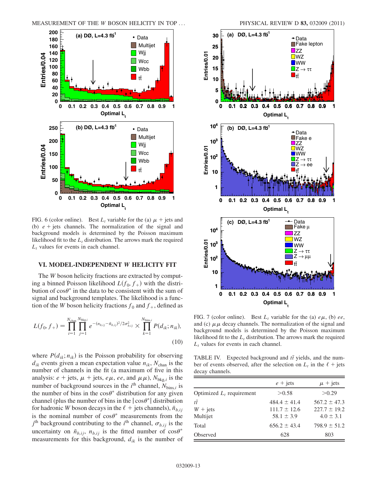<span id="page-12-0"></span>

FIG. 6 (color online). Best  $L_t$  variable for the (a)  $\mu$  + jets and (b)  $e + \text{jets}$  channels. The normalization of the signal and background models is determined by the Poisson maximum likelihood fit to the  $L_t$  distribution. The arrows mark the required  $L_t$  values for events in each channel.

#### VI. MODEL-INDEPENDENT W HELICITY FIT

The W boson helicity fractions are extracted by computing a binned Poisson likelihood  $L(f_0, f_+)$  with the distribution of  $cos\theta^*$  in the data to be consistent with the sum of signal and background templates. The likelihood is a funcsignal and background templates. The likelihood is a function of the W boson helicity fractions  $f_0$  and  $f_+$ , defined as

<span id="page-12-3"></span>
$$
L(f_0, f_+) = \prod_{i=1}^{N_{\text{chan}}} \prod_{j=1}^{N_{\text{bkg},i}} e^{-(n_{b,ij} - \bar{n}_{b,ij})^2/2\sigma_{b,ij}^2} \times \prod_{k=1}^{N_{\text{bins},i}} P(d_{ik}; n_{ik}),
$$
\n(10)

where  $P(d_{ik}; n_{ik})$  is the Poisson probability for observing  $d_{ik}$  events given a mean expectation value  $n_{ik}$ ,  $N_{\text{chan}}$  is the number of channels in the fit (a maximum of five in this analysis:  $e + \text{jets}, \mu + \text{jets}, e\mu, ee, \text{and } \mu\mu$ ),  $N_{\text{bkg},i}$  is the number of background sources in the *i*<sup>th</sup> channel,  $N_{\text{bins},i}$  is<br>the number of hips in the cos<sup>q\*</sup> distribution for any given the number of bins in the  $\cos\theta^*$  distribution for any given<br>channel (plus the number of bins in the  $|\cos\theta^*|$  distribution channel (plus the number of bins in the  $|\cos\theta^*|$  distribution<br>for hadronic W boson decays in the  $\ell +$  jets channels)  $\bar{n}$ . for hadronic W boson decays in the  $\ell$  + jets channels),  $\bar{n}_{b,ij}$ is the nominal number of  $\cos\theta^*$  measurements from the  $i^{\text{th}}$  background contributing to the  $i^{\text{th}}$  channel  $\sigma_i$ ... is the  $j<sup>th</sup>$  background contributing to the  $i<sup>th</sup>$  channel,  $\sigma_{b,ij}$  is the uncertainty on  $\bar{n}_{b,ij}$ ,  $n_{b,ij}$  is the fitted number of  $\cos\theta^*$ <br>measurements for this background d, is the number of measurements for this background,  $d_{ik}$  is the number of



<span id="page-12-1"></span>

FIG. 7 (color online). Best  $L_t$  variable for the (a)  $e\mu$ , (b) ee, and (c)  $\mu \mu$  decay channels. The normalization of the signal and background models is determined by the Poisson maximum likelihood fit to the  $L_t$  distribution. The arrows mark the required  $L_t$  values for events in each channel.

<span id="page-12-2"></span>TABLE IV. Expected background and  $t\bar{t}$  yields, and the num-<br>her of events observed, ofter the selection on  $\bar{t}$  in the  $\ell$  + jets ber of events observed, after the selection on  $L_t$  in the  $\ell$  + jets decay channels.

|                                           | $e + \text{jets}$                                      | $\mu$ + jets                                          |
|-------------------------------------------|--------------------------------------------------------|-------------------------------------------------------|
| Optimized $L_t$ requirement               | >0.58                                                  | > 0.29                                                |
| $t\overline{t}$<br>$W + jets$<br>Multijet | $484.4 \pm 41.4$<br>$111.7 \pm 12.6$<br>$58.1 \pm 3.9$ | $567.2 \pm 47.3$<br>$227.7 \pm 19.2$<br>$4.0 \pm 3.1$ |
| Total                                     | $656.2 \pm 43.4$                                       | $798.9 \pm 51.2$                                      |
| Observed                                  | 628                                                    | 803                                                   |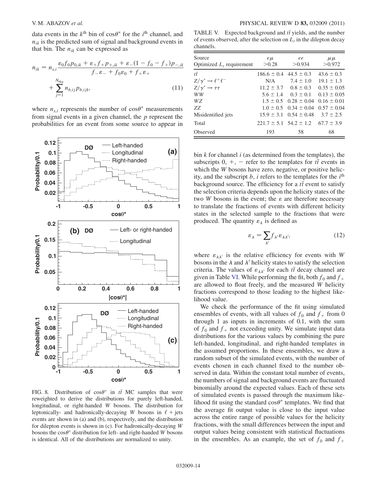data events in the  $k^{\text{th}}$  bin of  $\cos\theta^*$  for the *i*<sup>th</sup> channel, and  $n_{ij}$  is the predicted sum of signal and background events in  $n_{ik}$  is the predicted sum of signal and background events in that bin. The  $n_{ik}$  can be expressed as

$$
n_{ik} = n_{s,i} \frac{\varepsilon_0 f_0 p_{0,ik} + \varepsilon_+ f_+ p_{+,ik} + \varepsilon_-(1 - f_0 - f_+) p_{-,ik}}{f_- \varepsilon_- + f_0 \varepsilon_0 + f_+ \varepsilon_+} + \sum_{j=1}^{N_{bks}} n_{b,ij} p_{b,ijk},
$$
\n(11)

where  $n_{s,i}$  represents the number of  $\cos\theta^*$  measurements<br>from signal events in a given channel, the *n* represent the from signal events in a given channel, the  $p$  represent the probabilities for an event from some source to appear in

<span id="page-13-1"></span>

FIG. 8. Distribution of  $\cos\theta^*$  in  $t\bar{t}$  MC samples that were<br>reweighted to derive the distributions for purely left-handed reweighted to derive the distributions for purely left-handed, longitudinal, or right-handed W bosons. The distribution for leptonically- and hadronically-decaying W bosons in  $\ell$  + jets events are shown in (a) and (b), respectively, and the distribution for dilepton events is shown in (c). For hadronically-decaying W bosons the  $\cos\theta^*$  distribution for left- and right-handed W bosons is identical. All of the distributions are normalized to unity is identical. All of the distributions are normalized to unity.

<span id="page-13-0"></span>TABLE V. Expected background and  $t\bar{t}$  yields, and the number<br>of events observed, ofter the selection on  $\bar{t}$ , in the dilenton decay of events observed, after the selection on  $L_t$  in the dilepton decay channels.

| Source<br>Optimized $L_t$ requirement                     | $e\mu$<br>> 0.28                      | ee<br>> 0.934                                 | $\mu \mu$<br>>0.972              |
|-----------------------------------------------------------|---------------------------------------|-----------------------------------------------|----------------------------------|
| $t\overline{t}$<br>$Z/\gamma^* \rightarrow \ell^+ \ell^-$ | $186.6 \pm 0.4$ 44.5 $\pm$ 0.3<br>N/A | $7.4 \pm 1.0$                                 | $43.6 \pm 0.3$<br>$19.1 \pm 1.3$ |
| $Z/\gamma^* \rightarrow \tau \tau$                        |                                       | $11.2 \pm 3.7$ $0.8 \pm 0.3$                  | $0.35 \pm 0.05$                  |
| <b>WW</b>                                                 |                                       | $5.6 \pm 1.4$ $0.3 \pm 0.1$                   | $0.13 \pm 0.05$                  |
| WZ                                                        |                                       | $1.5 \pm 0.5$ $0.28 \pm 0.04$                 | $0.16 \pm 0.01$                  |
| ZZ.                                                       |                                       | $1.0 \pm 0.5$ $0.34 \pm 0.04$                 | $0.57 \pm 0.04$                  |
| Misidentified jets                                        |                                       | $15.9 \pm 3.1$ $0.54 \pm 0.48$                | $3.7 \pm 2.5$                    |
| Total                                                     |                                       | $221.7 \pm 5.1$ $54.2 \pm 1.2$ $67.7 \pm 3.9$ |                                  |
| Observed                                                  | 193                                   | 58                                            | 68                               |

bin  $k$  for channel  $i$  (as determined from the templates), the subscripts  $0, +$ ,  $-$  refer to the templates for  $t\bar{t}$  events in which the *W* bosons have zero, negative, or positive helicity, and the subscript  $b$ ,  $i$  refers to the templates for the  $i<sup>th</sup>$ background source. The efficiency for a  $t\bar{t}$  event to satisfy<br>the selection criteria depends upon the helicity states of the the selection criteria depends upon the helicity states of the two W bosons in the event; the  $\varepsilon$  are therefore necessary to translate the fractions of events with different helicity states in the selected sample to the fractions that were produced. The quantity  $\varepsilon_{\lambda}$  is defined as

$$
\varepsilon_{\lambda} = \sum_{\lambda'} f_{\lambda'} \varepsilon_{\lambda \lambda'}, \tag{12}
$$

where  $\varepsilon_{\lambda \lambda'}$  is the relative efficiency for events with W bosons in the  $\lambda$  and  $\lambda'$  helicity states to satisfy the selection criteria. The values of  $\varepsilon_{\lambda\lambda'}$  for each  $t\bar{t}$  decay channel are<br>given in Table VI. While performing the fit both f, and f. given in Table [VI.](#page-14-1) While performing the fit, both  $f_0$  and  $f_+$ are allowed to float freely, and the measured W helicity fractions correspond to those leading to the highest likelihood value.

We check the performance of the fit using simulated ensembles of events, with all values of  $f_0$  and  $f_+$  from 0 through 1 as inputs in increments of 0.1, with the sum of  $f_0$  and  $f_+$  not exceeding unity. We simulate input data distributions for the various values by combining the pure left-handed, longitudinal, and right-handed templates in the assumed proportions. In these ensembles, we draw a random subset of the simulated events, with the number of events chosen in each channel fixed to the number observed in data. Within the constant total number of events, the numbers of signal and background events are fluctuated binomially around the expected values. Each of these sets of simulated events is passed through the maximum likelihood fit using the standard  $\cos\theta^*$  templates. We find that the average fit output value is close to the input value the average fit output value is close to the input value across the entire range of possible values for the helicity fractions, with the small differences between the input and output values being consistent with statistical fluctuations in the ensembles. As an example, the set of  $f_0$  and  $f_+$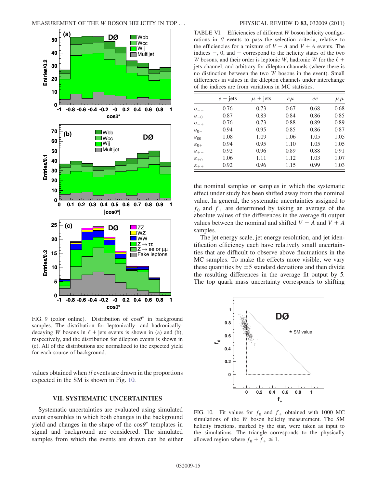<span id="page-14-0"></span>

FIG. 9 (color online). Distribution of  $\cos\theta^*$  in background<br>samples. The distribution for leptonically- and hadronicallysamples. The distribution for leptonically- and hadronicallydecaying W bosons in  $\ell$  + jets events is shown in (a) and (b), respectively, and the distribution for dilepton events is shown in (c). All of the distributions are normalized to the expected yield for each source of background.

values obtained when  $t\bar{t}$  events are drawn in the proportions<br>expected in the SM is shown in Fig. 10 expected in the SM is shown in Fig. [10.](#page-14-2)

## VII. SYSTEMATIC UNCERTAINTIES

Systematic uncertainties are evaluated using simulated event ensembles in which both changes in the background yield and changes in the shape of the  $\cos\theta^*$  templates in signal, and background are considered. The simulated signal and background are considered. The simulated samples from which the events are drawn can be either

<span id="page-14-1"></span>TABLE VI. Efficiencies of different W boson helicity configurations in  $t\bar{t}$  events to pass the selection criteria, relative to the efficiencies for a mixture of  $V = A$  and  $V + A$  events. The the efficiencies for a mixture of  $V - A$  and  $V + A$  events. The indices  $-$ , 0, and  $+$  correspond to the helicity states of the two W bosons, and their order is leptonic W, hadronic W for the  $\ell$  + jets channel, and arbitrary for dilepton channels (where there is no distinction between the two W bosons in the event). Small differences in values in the dilepton channels under interchange of the indices are from variations in MC statistics.

|                    | $e + \text{jets}$ | $\mu$ + jets | $e\mu$ | ee   | $\mu \mu$ |
|--------------------|-------------------|--------------|--------|------|-----------|
| $\varepsilon_{--}$ | 0.76              | 0.73         | 0.67   | 0.68 | 0.68      |
| $\varepsilon_{-0}$ | 0.87              | 0.83         | 0.84   | 0.86 | 0.85      |
| $\varepsilon_{-+}$ | 0.76              | 0.73         | 0.88   | 0.89 | 0.89      |
| $\varepsilon_{0-}$ | 0.94              | 0.95         | 0.85   | 0.86 | 0.87      |
| $\varepsilon_{00}$ | 1.08              | 1.09         | 1.06   | 1.05 | 1.05      |
| $\varepsilon_{0+}$ | 0.94              | 0.95         | 1.10   | 1.05 | 1.05      |
| $\varepsilon_{+-}$ | 0.92              | 0.96         | 0.89   | 0.88 | 0.91      |
| $\varepsilon_{+0}$ | 1.06              | 1.11         | 1.12   | 1.03 | 1.07      |
| $\varepsilon_{++}$ | 0.92              | 0.96         | 1.15   | 0.99 | 1.03      |

the nominal samples or samples in which the systematic effect under study has been shifted away from the nominal value. In general, the systematic uncertainties assigned to  $f_0$  and  $f_+$  are determined by taking an average of the absolute values of the differences in the average fit output absolute values of the differences in the average fit output values between the nominal and shifted  $V - A$  and  $V + A$ samples.

The jet energy scale, jet energy resolution, and jet identification efficiency each have relatively small uncertainties that are difficult to observe above fluctuations in the MC samples. To make the effects more visible, we vary these quantities by  $\pm$  5 standard deviations and then divide<br>the resulting differences in the average fit output by 5 the resulting differences in the average fit output by 5. The top quark mass uncertainty corresponds to shifting

<span id="page-14-2"></span>

FIG. 10. Fit values for  $f_0$  and  $f_+$  obtained with 1000 MC simulations of the W boson helicity measurement. The SM helicity fractions, marked by the star, were taken as input to the simulations. The triangle corresponds to the physically allowed region where  $f_0 + f_+ \leq 1$ .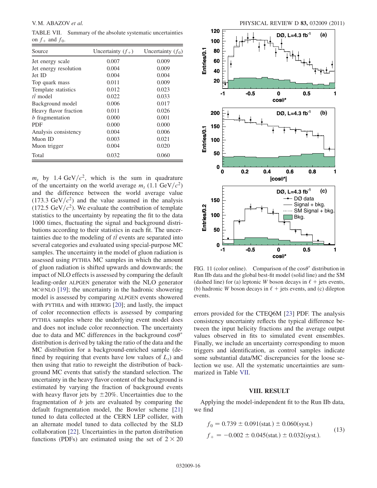<span id="page-15-0"></span>TABLE VII. Summary of the absolute systematic uncertainties on  $f_+$  and  $f_0$ .

| Source                | Uncertainty $(f_+)$ | Uncertainty $(f_0)$ |
|-----------------------|---------------------|---------------------|
| Jet energy scale      | 0.007               | 0.009               |
| Jet energy resolution | 0.004               | 0.009               |
| Jet ID                | 0.004               | 0.004               |
| Top quark mass        | 0.011               | 0.009               |
| Template statistics   | 0.012               | 0.023               |
| $t\bar{t}$ model      | 0.022               | 0.033               |
| Background model      | 0.006               | 0.017               |
| Heavy flavor fraction | 0.011               | 0.026               |
| $b$ fragmentation     | 0.000               | 0.001               |
| <b>PDF</b>            | 0.000               | 0.000               |
| Analysis consistency  | 0.004               | 0.006               |
| Muon ID               | 0.003               | 0.021               |
| Muon trigger          | 0.004               | 0.020               |
| Total                 | 0.032               | 0.060               |

 $m_t$  by 1.4 GeV/ $c^2$ , which is the sum in quadrature of the uncertainty on the world average  $m_t$  (1.1 GeV/ $c^2$ ) and the difference between the world average value  $(173.3 \text{ GeV}/c^2)$  and the value assumed in the analysis (172.5 GeV/ $c^2$ ). We evaluate the contribution of template statistics to the uncertainty by repeating the fit to the data 1000 times, fluctuating the signal and background distributions according to their statistics in each fit. The uncertainties due to the modeling of  $t\bar{t}$  events are separated into<br>several categories and evaluated using special purpose  $MC$ several categories and evaluated using special-purpose MC samples. The uncertainty in the model of gluon radiation is assessed using PYTHIA MC samples in which the amount of gluon radiation is shifted upwards and downwards; the impact of NLO effects is assessed by comparing the default leading-order ALPGEN generator with the NLO generator MC@NLO [[19](#page-17-18)]; the uncertainty in the hadronic showering model is assessed by comparing ALPGEN events showered with PYTHIA and with HERWIG [[20](#page-17-19)]; and lastly, the impact of color reconnection effects is assessed by comparing PYTHIA samples where the underlying event model does and does not include color reconnection. The uncertainty due to data and MC differences in the background  $\cos\theta^*$ <br>distribution is derived by taking the ratio of the data and the distribution is derived by taking the ratio of the data and the MC distribution for a background-enriched sample (defined by requiring that events have low values of  $L_t$ ) and then using that ratio to reweight the distribution of background MC events that satisfy the standard selection. The uncertainty in the heavy flavor content of the background is estimated by varying the fraction of background events with heavy flavor jets by  $\pm 20\%$ . Uncertainties due to the fragmentation of *h* jets are evaluated by comparing the fragmentation of  $b$  jets are evaluated by comparing the default fragmentation model, the Bowler scheme [\[21\]](#page-17-20) tuned to data collected at the CERN LEP collider, with an alternate model tuned to data collected by the SLD collaboration [[22](#page-17-21)]. Uncertainties in the parton distribution functions (PDFs) are estimated using the set of  $2 \times 20$ 

<span id="page-15-1"></span>

FIG. 11 (color online). Comparison of the  $cos\theta^*$  distribution in<br>Run IIb data and the global best-fit model (solid line) and the SM Run IIb data and the global best-fit model (solid line) and the SM (dashed line) for (a) leptonic W boson decays in  $\ell$  + jets events, (b) hadronic W boson decays in  $\ell$  + jets events, and (c) dilepton events.

errors provided for the CTEQ6M [\[23\]](#page-17-22) PDF. The analysis consistency uncertainty reflects the typical difference between the input helicity fractions and the average output values observed in fits to simulated event ensembles. Finally, we include an uncertainty corresponding to muon triggers and identification, as control samples indicate some substantial data/MC discrepancies for the loose selection we use. All the systematic uncertainties are summarized in Table [VII.](#page-15-0)

### VIII. RESULT

Applying the model-independent fit to the Run IIb data, we find

$$
f_0 = 0.739 \pm 0.091 \text{(stat.)} \pm 0.060 \text{(syst.)}
$$
  

$$
f_+ = -0.002 \pm 0.045 \text{(stat.)} \pm 0.032 \text{(syst.)}.
$$
 (13)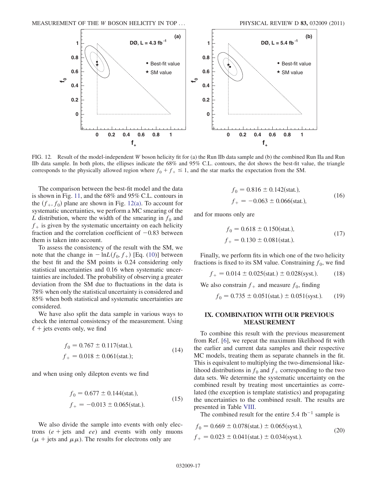

<span id="page-16-0"></span>FIG. 12. Result of the model-independent W boson helicity fit for (a) the Run IIb data sample and (b) the combined Run IIa and Run IIb data sample. In both plots, the ellipses indicate the 68% and 95% C.L. contours, the dot shows the best-fit value, the triangle corresponds to the physically allowed region where  $f_0 + f_+ \le 1$ , and the star marks the expectation from the SM.

The comparison between the best-fit model and the data is shown in Fig. [11,](#page-15-1) and the 68% and 95% C.L. contours in the  $(f_+, f_0)$  plane are shown in Fig. [12\(a\)](#page-16-0). To account for systematic uncertainties, we perform a MC smearing of the L distribution, where the width of the smearing in  $f_0$  and  $f_{+}$  is given by the systematic uncertainty on each helicity fraction and the correlation coefficient of  $-0.83$  between them is taken into account.

To assess the consistency of the result with the SM, we note that the change in  $-\ln L(f_0, f_+)$  [Eq. [\(10\)](#page-12-3)] between the best fit and the SM points is 0.24 considering only statistical uncertainties and 0.16 when systematic uncertainties are included. The probability of observing a greater deviation from the SM due to fluctuations in the data is 78% when only the statistical uncertainty is considered and 85% when both statistical and systematic uncertainties are considered.

We have also split the data sample in various ways to check the internal consistency of the measurement. Using  $\ell$  + jets events only, we find

$$
f_0 = 0.767 \pm 0.117 \text{(stat.)},
$$
  
\n
$$
f_+ = 0.018 \pm 0.061 \text{(stat.)};
$$
\n(14)

and when using only dilepton events we find

$$
f_0 = 0.677 \pm 0.144 \text{(stat.)},
$$
  

$$
f_+ = -0.013 \pm 0.065 \text{(stat.)}.
$$
 (15)

We also divide the sample into events with only electrons  $(e + jets$  and  $ee)$  and events with only muons  $(\mu +$  jets and  $\mu\mu$ ). The results for electrons only are

$$
f_0 = 0.816 \pm 0.142 \text{(stat.)},
$$
  
\n
$$
f_+ = -0.063 \pm 0.066 \text{(stat.)},
$$
\n(16)

and for muons only are

$$
f_0 = 0.618 \pm 0.150 \text{(stat.)},
$$
  
\n
$$
f_+ = 0.130 \pm 0.081 \text{(stat.)}.
$$
\n(17)

Finally, we perform fits in which one of the two helicity fractions is fixed to its SM value. Constraining  $f_0$ , we find

$$
f_{+} = 0.014 \pm 0.025 \text{(stat.)} \pm 0.028 \text{(syst.)}. \tag{18}
$$

We also constrain  $f_{+}$  and measure  $f_{0}$ , finding

$$
f_0 = 0.735 \pm 0.051 \text{(stat.)} \pm 0.051 \text{(syst.)}. \tag{19}
$$

## IX. COMBINATION WITH OUR PREVIOUS MEASUREMENT

To combine this result with the previous measurement from Ref. [[6](#page-17-5)], we repeat the maximum likelihood fit with the earlier and current data samples and their respective MC models, treating them as separate channels in the fit. This is equivalent to multiplying the two-dimensional likelihood distributions in  $f_0$  and  $f_+$  corresponding to the two data sets. We determine the systematic uncertainty on the combined result by treating most uncertainties as correlated (the exception is template statistics) and propagating the uncertainties to the combined result. The results are presented in Table [VIII.](#page-17-23)

The combined result for the entire  $5.4 \text{ fb}^{-1}$  sample is

$$
f_0 = 0.669 \pm 0.078 \text{(stat.)} \pm 0.065 \text{(syst.)},
$$
  

$$
f_+ = 0.023 \pm 0.041 \text{(stat.)} \pm 0.034 \text{(syst.)}.
$$
 (20)